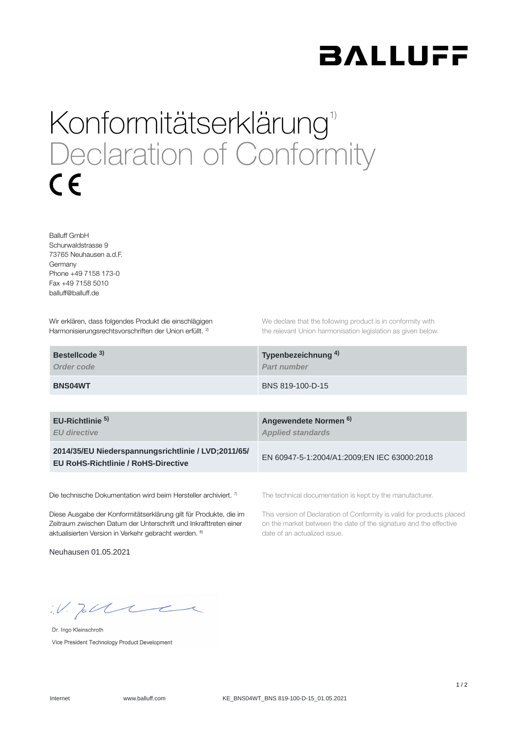

## Konformitätserklärung<sup>1)</sup> Declaration of Conformity  $\epsilon$

Balluff GmbH Schurwaldstrasse 9 73765 Neuhausen a.d.F. Germany Phone +49 7158 173-0 Fax +49 7158 5010 balluff@balluff.de

Wir erklären, dass folgendes Produkt die einschlägigen Harmonisierungsrechtsvorschriften der Union erfüllt. <sup>2)</sup>

We declare that the following product is in conformity with the relevant Union harmonisation legislation as given below.

| Bestellcode <sup>3)</sup> | Typenbezeichnung <sup>4)</sup> |
|---------------------------|--------------------------------|
| Order code                | <b>Part number</b>             |
| <b>BNS04WT</b>            | BNS 819-100-D-15               |

**EU-Richtlinie** 

*EU directive*

**2014/35/EU Niederspannungsrichtlinie / LVD;2011/65/ EU RoHS-Richtlinie / RoHS-Directive**

Die technische Dokumentation wird beim Hersteller archiviert. 7)

Diese Ausgabe der Konformitätserklärung gilt für Produkte, die im Zeitraum zwischen Datum der Unterschrift und Inkrafttreten einer aktualisierten Version in Verkehr gebracht werden. 8)

Neuhausen 01.05.2021

**Angewendete Normen 5) 6)***Applied standards*

EN 60947-5-1:2004/A1:2009;EN IEC 63000:2018

The technical documentation is kept by the manufacturer.

This version of Declaration of Conformity is valid for products placed on the market between the date of the signature and the effective date of an actualized issue.

 $W.$  Jobble

Dr. Ingo Kleinschroth Vice President Technology Product Development